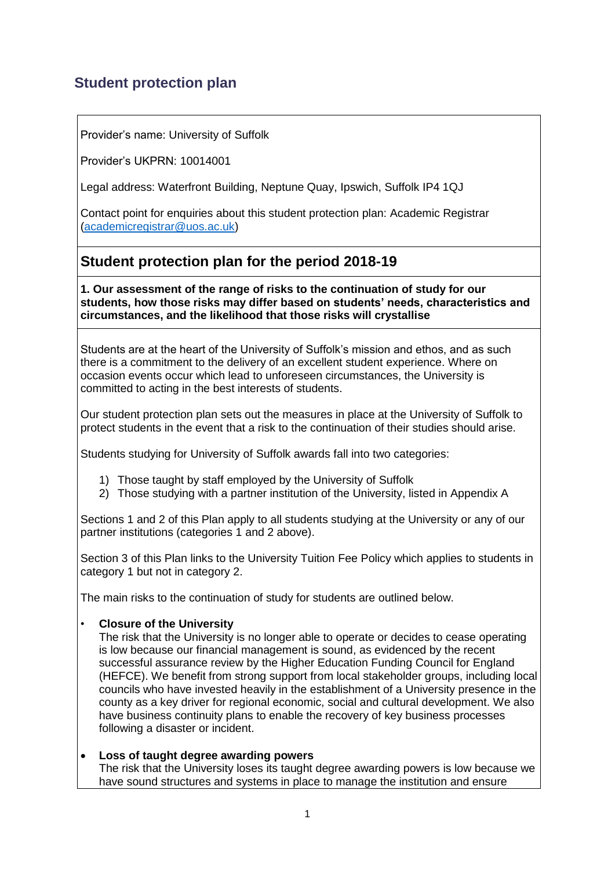# **Student protection plan**

Provider's name: University of Suffolk

Provider's UKPRN: 10014001

Legal address: Waterfront Building, Neptune Quay, Ipswich, Suffolk IP4 1QJ

Contact point for enquiries about this student protection plan: Academic Registrar [\(academicregistrar@uos.ac.uk\)](mailto:academicregistrar@uos.ac.uk)

## **Student protection plan for the period 2018-19**

**1. Our assessment of the range of risks to the continuation of study for our students, how those risks may differ based on students' needs, characteristics and circumstances, and the likelihood that those risks will crystallise**

Students are at the heart of the University of Suffolk's mission and ethos, and as such there is a commitment to the delivery of an excellent student experience. Where on occasion events occur which lead to unforeseen circumstances, the University is committed to acting in the best interests of students.

Our student protection plan sets out the measures in place at the University of Suffolk to protect students in the event that a risk to the continuation of their studies should arise.

Students studying for University of Suffolk awards fall into two categories:

- 1) Those taught by staff employed by the University of Suffolk
- 2) Those studying with a partner institution of the University, listed in Appendix A

Sections 1 and 2 of this Plan apply to all students studying at the University or any of our partner institutions (categories 1 and 2 above).

Section 3 of this Plan links to the University Tuition Fee Policy which applies to students in category 1 but not in category 2.

The main risks to the continuation of study for students are outlined below.

## • **Closure of the University**

The risk that the University is no longer able to operate or decides to cease operating is low because our financial management is sound, as evidenced by the recent successful assurance review by the Higher Education Funding Council for England (HEFCE). We benefit from strong support from local stakeholder groups, including local councils who have invested heavily in the establishment of a University presence in the county as a key driver for regional economic, social and cultural development. We also have business continuity plans to enable the recovery of key business processes following a disaster or incident.

#### **Loss of taught degree awarding powers**

The risk that the University loses its taught degree awarding powers is low because we have sound structures and systems in place to manage the institution and ensure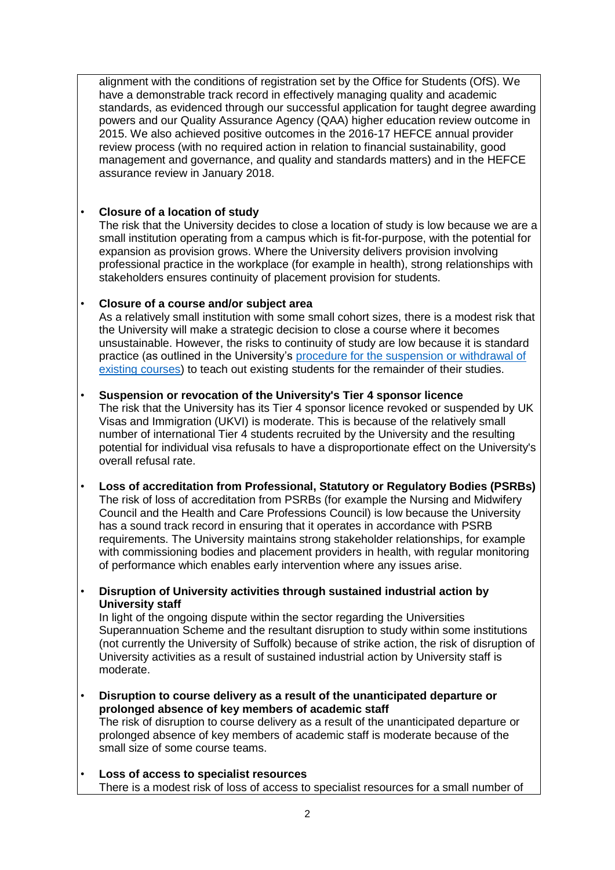alignment with the conditions of registration set by the Office for Students (OfS). We have a demonstrable track record in effectively managing quality and academic standards, as evidenced through our successful application for taught degree awarding powers and our Quality Assurance Agency (QAA) higher education review outcome in 2015. We also achieved positive outcomes in the 2016-17 HEFCE annual provider review process (with no required action in relation to financial sustainability, good management and governance, and quality and standards matters) and in the HEFCE assurance review in January 2018.

## • **Closure of a location of study**

The risk that the University decides to close a location of study is low because we are a small institution operating from a campus which is fit-for-purpose, with the potential for expansion as provision grows. Where the University delivers provision involving professional practice in the workplace (for example in health), strong relationships with stakeholders ensures continuity of placement provision for students.

## • **Closure of a course and/or subject area**

As a relatively small institution with some small cohort sizes, there is a modest risk that the University will make a strategic decision to close a course where it becomes unsustainable. However, the risks to continuity of study are low because it is standard practice (as outlined in the University's [procedure for the suspension or withdrawal of](https://www.uos.ac.uk/sites/default/files/Course-suspension-withdrawal-procedure.pdf)  [existing courses\)](https://www.uos.ac.uk/sites/default/files/Course-suspension-withdrawal-procedure.pdf) to teach out existing students for the remainder of their studies.

## • **Suspension or revocation of the University's Tier 4 sponsor licence**

The risk that the University has its Tier 4 sponsor licence revoked or suspended by UK Visas and Immigration (UKVI) is moderate. This is because of the relatively small number of international Tier 4 students recruited by the University and the resulting potential for individual visa refusals to have a disproportionate effect on the University's overall refusal rate.

- **Loss of accreditation from Professional, Statutory or Regulatory Bodies (PSRBs)** The risk of loss of accreditation from PSRBs (for example the Nursing and Midwifery Council and the Health and Care Professions Council) is low because the University has a sound track record in ensuring that it operates in accordance with PSRB requirements. The University maintains strong stakeholder relationships, for example with commissioning bodies and placement providers in health, with regular monitoring of performance which enables early intervention where any issues arise.
- **Disruption of University activities through sustained industrial action by University staff**

In light of the ongoing dispute within the sector regarding the Universities Superannuation Scheme and the resultant disruption to study within some institutions (not currently the University of Suffolk) because of strike action, the risk of disruption of University activities as a result of sustained industrial action by University staff is moderate.

- **Disruption to course delivery as a result of the unanticipated departure or prolonged absence of key members of academic staff** The risk of disruption to course delivery as a result of the unanticipated departure or prolonged absence of key members of academic staff is moderate because of the small size of some course teams.
- **Loss of access to specialist resources** There is a modest risk of loss of access to specialist resources for a small number of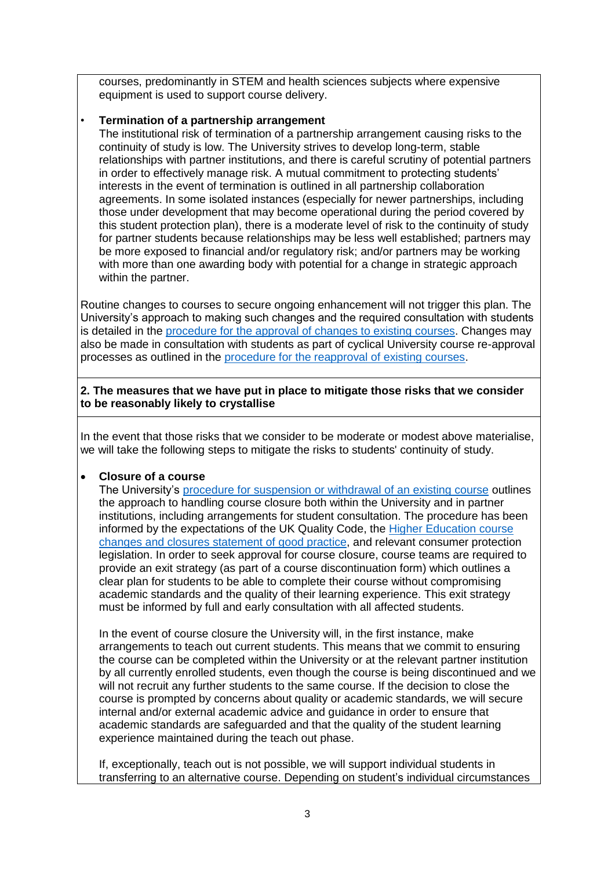courses, predominantly in STEM and health sciences subjects where expensive equipment is used to support course delivery.

#### • **Termination of a partnership arrangement**

The institutional risk of termination of a partnership arrangement causing risks to the continuity of study is low. The University strives to develop long-term, stable relationships with partner institutions, and there is careful scrutiny of potential partners in order to effectively manage risk. A mutual commitment to protecting students' interests in the event of termination is outlined in all partnership collaboration agreements. In some isolated instances (especially for newer partnerships, including those under development that may become operational during the period covered by this student protection plan), there is a moderate level of risk to the continuity of study for partner students because relationships may be less well established; partners may be more exposed to financial and/or regulatory risk; and/or partners may be working with more than one awarding body with potential for a change in strategic approach within the partner.

Routine changes to courses to secure ongoing enhancement will not trigger this plan. The University's approach to making such changes and the required consultation with students is detailed in the [procedure for the approval of changes to existing courses.](https://www.uos.ac.uk/sites/default/files/Course-modification-procedure.pdf) Changes may also be made in consultation with students as part of cyclical University course re-approval processes as outlined in the [procedure for the reapproval of existing courses.](https://www.uos.ac.uk/sites/default/files/Course-reapproval-procedure.pdf)

#### **2. The measures that we have put in place to mitigate those risks that we consider to be reasonably likely to crystallise**

In the event that those risks that we consider to be moderate or modest above materialise, we will take the following steps to mitigate the risks to students' continuity of study.

## **Closure of a course**

The University's [procedure for suspension or withdrawal of an existing course](https://www.uos.ac.uk/sites/default/files/Course-reapproval-procedure.pdf) outlines the approach to handling course closure both within the University and in partner institutions, including arrangements for student consultation. The procedure has been informed by the expectations of the UK Quality Code, the [Higher Education course](http://www.hefce.ac.uk/media/HEFCE,2014/Content/Regulation/Student,protection/Statement_good_practice.pdf)  [changes and closures statement of good practice,](http://www.hefce.ac.uk/media/HEFCE,2014/Content/Regulation/Student,protection/Statement_good_practice.pdf) and relevant consumer protection legislation. In order to seek approval for course closure, course teams are required to provide an exit strategy (as part of a course discontinuation form) which outlines a clear plan for students to be able to complete their course without compromising academic standards and the quality of their learning experience. This exit strategy must be informed by full and early consultation with all affected students.

In the event of course closure the University will, in the first instance, make arrangements to teach out current students. This means that we commit to ensuring the course can be completed within the University or at the relevant partner institution by all currently enrolled students, even though the course is being discontinued and we will not recruit any further students to the same course. If the decision to close the course is prompted by concerns about quality or academic standards, we will secure internal and/or external academic advice and guidance in order to ensure that academic standards are safeguarded and that the quality of the student learning experience maintained during the teach out phase.

If, exceptionally, teach out is not possible, we will support individual students in transferring to an alternative course. Depending on student's individual circumstances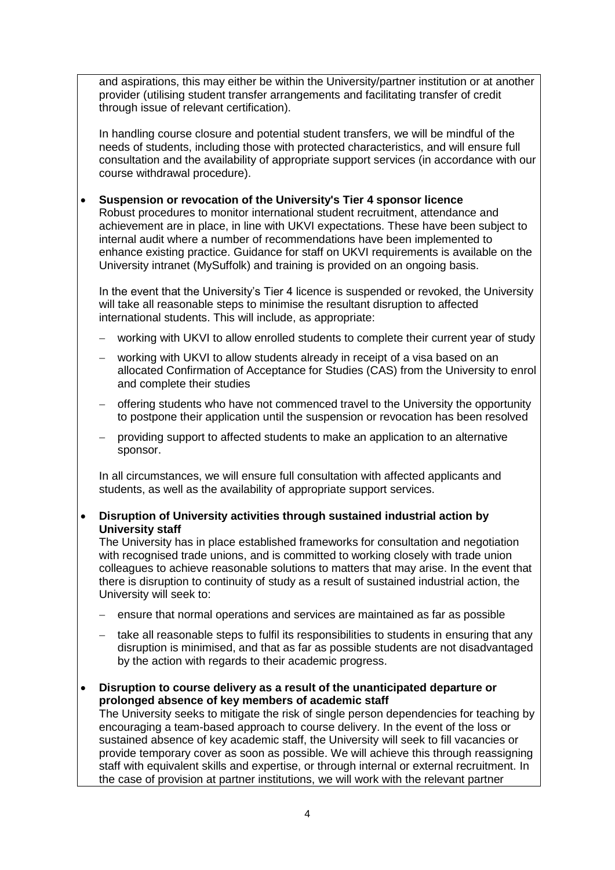and aspirations, this may either be within the University/partner institution or at another provider (utilising student transfer arrangements and facilitating transfer of credit through issue of relevant certification).

In handling course closure and potential student transfers, we will be mindful of the needs of students, including those with protected characteristics, and will ensure full consultation and the availability of appropriate support services (in accordance with our course withdrawal procedure).

#### **Suspension or revocation of the University's Tier 4 sponsor licence**

Robust procedures to monitor international student recruitment, attendance and achievement are in place, in line with UKVI expectations. These have been subject to internal audit where a number of recommendations have been implemented to enhance existing practice. Guidance for staff on UKVI requirements is available on the University intranet (MySuffolk) and training is provided on an ongoing basis.

In the event that the University's Tier 4 licence is suspended or revoked, the University will take all reasonable steps to minimise the resultant disruption to affected international students. This will include, as appropriate:

- working with UKVI to allow enrolled students to complete their current year of study
- working with UKVI to allow students already in receipt of a visa based on an allocated Confirmation of Acceptance for Studies (CAS) from the University to enrol and complete their studies
- offering students who have not commenced travel to the University the opportunity to postpone their application until the suspension or revocation has been resolved
- providing support to affected students to make an application to an alternative sponsor.

In all circumstances, we will ensure full consultation with affected applicants and students, as well as the availability of appropriate support services.

#### **Disruption of University activities through sustained industrial action by University staff**

The University has in place established frameworks for consultation and negotiation with recognised trade unions, and is committed to working closely with trade union colleagues to achieve reasonable solutions to matters that may arise. In the event that there is disruption to continuity of study as a result of sustained industrial action, the University will seek to:

- ensure that normal operations and services are maintained as far as possible
- $-$  take all reasonable steps to fulfil its responsibilities to students in ensuring that any disruption is minimised, and that as far as possible students are not disadvantaged by the action with regards to their academic progress.

 **Disruption to course delivery as a result of the unanticipated departure or prolonged absence of key members of academic staff**

The University seeks to mitigate the risk of single person dependencies for teaching by encouraging a team-based approach to course delivery. In the event of the loss or sustained absence of key academic staff, the University will seek to fill vacancies or provide temporary cover as soon as possible. We will achieve this through reassigning staff with equivalent skills and expertise, or through internal or external recruitment. In the case of provision at partner institutions, we will work with the relevant partner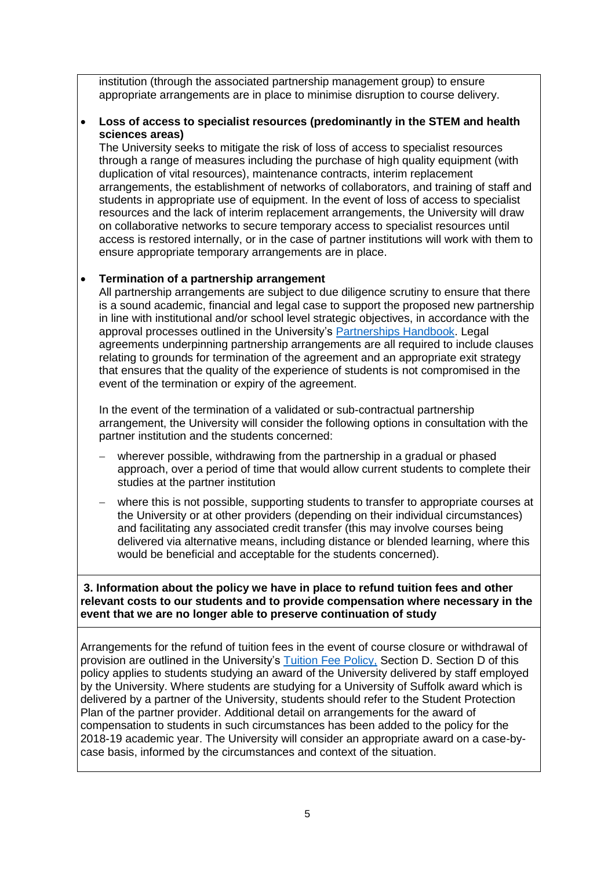institution (through the associated partnership management group) to ensure appropriate arrangements are in place to minimise disruption to course delivery.

#### **Loss of access to specialist resources (predominantly in the STEM and health sciences areas)**

The University seeks to mitigate the risk of loss of access to specialist resources through a range of measures including the purchase of high quality equipment (with duplication of vital resources), maintenance contracts, interim replacement arrangements, the establishment of networks of collaborators, and training of staff and students in appropriate use of equipment. In the event of loss of access to specialist resources and the lack of interim replacement arrangements, the University will draw on collaborative networks to secure temporary access to specialist resources until access is restored internally, or in the case of partner institutions will work with them to ensure appropriate temporary arrangements are in place.

#### **Termination of a partnership arrangement**

All partnership arrangements are subject to due diligence scrutiny to ensure that there is a sound academic, financial and legal case to support the proposed new partnership in line with institutional and/or school level strategic objectives, in accordance with the approval processes outlined in the University's [Partnerships Handbook.](https://www.uos.ac.uk/sites/default/files/partnerships-handbook.pdf) Legal agreements underpinning partnership arrangements are all required to include clauses relating to grounds for termination of the agreement and an appropriate exit strategy that ensures that the quality of the experience of students is not compromised in the event of the termination or expiry of the agreement.

In the event of the termination of a validated or sub-contractual partnership arrangement, the University will consider the following options in consultation with the partner institution and the students concerned:

- wherever possible, withdrawing from the partnership in a gradual or phased approach, over a period of time that would allow current students to complete their studies at the partner institution
- where this is not possible, supporting students to transfer to appropriate courses at the University or at other providers (depending on their individual circumstances) and facilitating any associated credit transfer (this may involve courses being delivered via alternative means, including distance or blended learning, where this would be beneficial and acceptable for the students concerned).

**3. Information about the policy we have in place to refund tuition fees and other relevant costs to our students and to provide compensation where necessary in the event that we are no longer able to preserve continuation of study**

Arrangements for the refund of tuition fees in the event of course closure or withdrawal of provision are outlined in the University's [Tuition Fee Policy,](https://www.uos.ac.uk/sites/default/files/University%20of%20Suffolk%20Tuition%20Fee%20Policy%2018-19.PDF_0.PDF) Section D. Section D of this policy applies to students studying an award of the University delivered by staff employed by the University. Where students are studying for a University of Suffolk award which is delivered by a partner of the University, students should refer to the Student Protection Plan of the partner provider. Additional detail on arrangements for the award of compensation to students in such circumstances has been added to the policy for the 2018-19 academic year. The University will consider an appropriate award on a case-bycase basis, informed by the circumstances and context of the situation.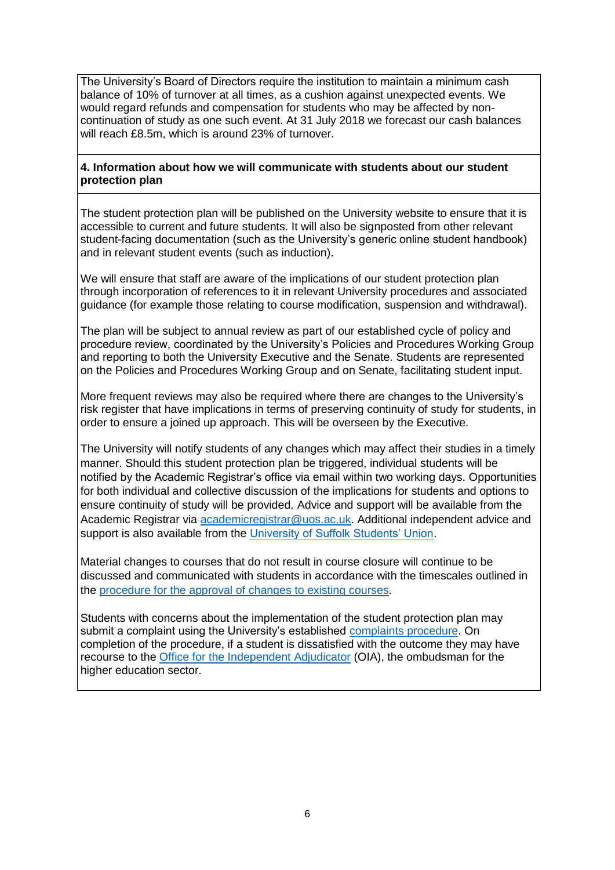The University's Board of Directors require the institution to maintain a minimum cash balance of 10% of turnover at all times, as a cushion against unexpected events. We would regard refunds and compensation for students who may be affected by noncontinuation of study as one such event. At 31 July 2018 we forecast our cash balances will reach £8.5m, which is around 23% of turnover.

#### **4. Information about how we will communicate with students about our student protection plan**

The student protection plan will be published on the University website to ensure that it is accessible to current and future students. It will also be signposted from other relevant student-facing documentation (such as the University's generic online student handbook) and in relevant student events (such as induction).

We will ensure that staff are aware of the implications of our student protection plan through incorporation of references to it in relevant University procedures and associated guidance (for example those relating to course modification, suspension and withdrawal).

The plan will be subject to annual review as part of our established cycle of policy and procedure review, coordinated by the University's Policies and Procedures Working Group and reporting to both the University Executive and the Senate. Students are represented on the Policies and Procedures Working Group and on Senate, facilitating student input.

More frequent reviews may also be required where there are changes to the University's risk register that have implications in terms of preserving continuity of study for students, in order to ensure a joined up approach. This will be overseen by the Executive.

The University will notify students of any changes which may affect their studies in a timely manner. Should this student protection plan be triggered, individual students will be notified by the Academic Registrar's office via email within two working days. Opportunities for both individual and collective discussion of the implications for students and options to ensure continuity of study will be provided. Advice and support will be available from the Academic Registrar via [academicregistrar@uos.ac.uk.](mailto:academicregistrar@uos.ac.uk) Additional independent advice and support is also available from the [University of Suffolk Students' Union.](https://www.uosunion.org/)

Material changes to courses that do not result in course closure will continue to be discussed and communicated with students in accordance with the timescales outlined in the [procedure for the approval of changes to existing courses.](https://www.uos.ac.uk/sites/default/files/Course-modification-procedure.pdf)

Students with concerns about the implementation of the student protection plan may submit a complaint using the University's established [complaints procedure.](https://www.uos.ac.uk/sites/default/files/Student-Complaints-Procedure.pdf) On completion of the procedure, if a student is dissatisfied with the outcome they may have recourse to the [Office for the Independent Adjudicator](http://www.oiahe.org.uk/) (OIA), the ombudsman for the higher education sector.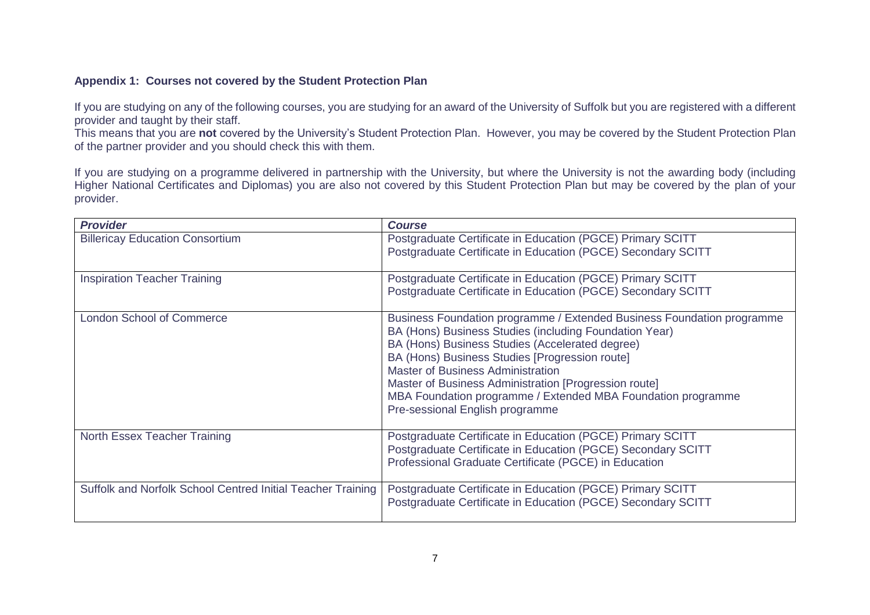#### **Appendix 1: Courses not covered by the Student Protection Plan**

If you are studying on any of the following courses, you are studying for an award of the University of Suffolk but you are registered with a different provider and taught by their staff.

This means that you are **not** covered by the University's Student Protection Plan. However, you may be covered by the Student Protection Plan of the partner provider and you should check this with them.

If you are studying on a programme delivered in partnership with the University, but where the University is not the awarding body (including Higher National Certificates and Diplomas) you are also not covered by this Student Protection Plan but may be covered by the plan of your provider.

| <b>Provider</b>                                             | <b>Course</b>                                                                                                                                                                                                                                                                                                                                                                                                                                 |
|-------------------------------------------------------------|-----------------------------------------------------------------------------------------------------------------------------------------------------------------------------------------------------------------------------------------------------------------------------------------------------------------------------------------------------------------------------------------------------------------------------------------------|
| <b>Billericay Education Consortium</b>                      | Postgraduate Certificate in Education (PGCE) Primary SCITT<br>Postgraduate Certificate in Education (PGCE) Secondary SCITT                                                                                                                                                                                                                                                                                                                    |
| <b>Inspiration Teacher Training</b>                         | Postgraduate Certificate in Education (PGCE) Primary SCITT<br>Postgraduate Certificate in Education (PGCE) Secondary SCITT                                                                                                                                                                                                                                                                                                                    |
| <b>London School of Commerce</b>                            | Business Foundation programme / Extended Business Foundation programme<br>BA (Hons) Business Studies (including Foundation Year)<br>BA (Hons) Business Studies (Accelerated degree)<br>BA (Hons) Business Studies [Progression route]<br><b>Master of Business Administration</b><br>Master of Business Administration [Progression route]<br>MBA Foundation programme / Extended MBA Foundation programme<br>Pre-sessional English programme |
| North Essex Teacher Training                                | Postgraduate Certificate in Education (PGCE) Primary SCITT<br>Postgraduate Certificate in Education (PGCE) Secondary SCITT<br>Professional Graduate Certificate (PGCE) in Education                                                                                                                                                                                                                                                           |
| Suffolk and Norfolk School Centred Initial Teacher Training | Postgraduate Certificate in Education (PGCE) Primary SCITT<br>Postgraduate Certificate in Education (PGCE) Secondary SCITT                                                                                                                                                                                                                                                                                                                    |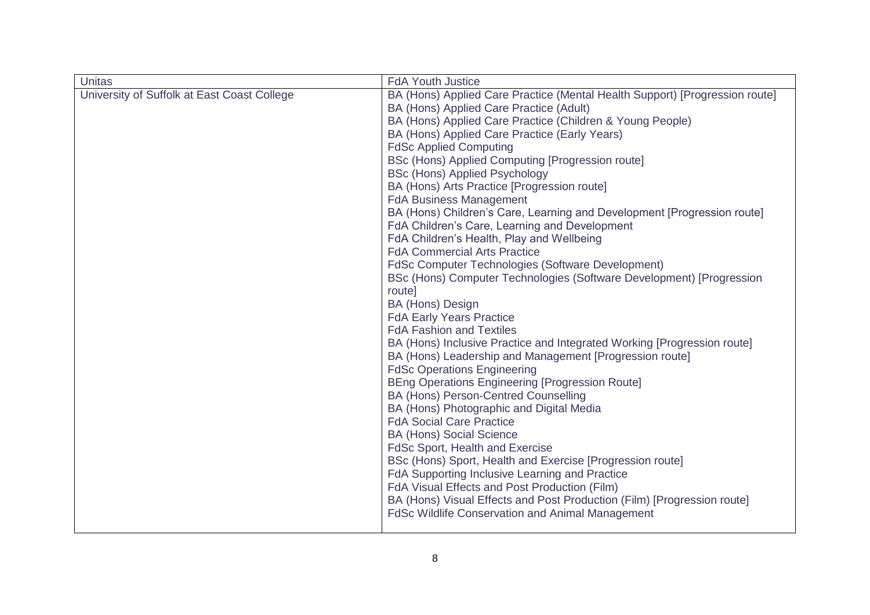| <b>Unitas</b>                               | <b>FdA Youth Justice</b>                                                                                                                                                                                                                                                                                                                                                                                                                                                                                                                                                                                                                                                                                                                                                                                                                                                                                                                                                                                                                                                                                                                                                                                                                                                                                                                                                                                                                                                                                                                                                                                                                            |
|---------------------------------------------|-----------------------------------------------------------------------------------------------------------------------------------------------------------------------------------------------------------------------------------------------------------------------------------------------------------------------------------------------------------------------------------------------------------------------------------------------------------------------------------------------------------------------------------------------------------------------------------------------------------------------------------------------------------------------------------------------------------------------------------------------------------------------------------------------------------------------------------------------------------------------------------------------------------------------------------------------------------------------------------------------------------------------------------------------------------------------------------------------------------------------------------------------------------------------------------------------------------------------------------------------------------------------------------------------------------------------------------------------------------------------------------------------------------------------------------------------------------------------------------------------------------------------------------------------------------------------------------------------------------------------------------------------------|
| University of Suffolk at East Coast College | BA (Hons) Applied Care Practice (Mental Health Support) [Progression route]<br>BA (Hons) Applied Care Practice (Adult)<br>BA (Hons) Applied Care Practice (Children & Young People)<br>BA (Hons) Applied Care Practice (Early Years)<br><b>FdSc Applied Computing</b><br>BSc (Hons) Applied Computing [Progression route]<br><b>BSc (Hons) Applied Psychology</b><br>BA (Hons) Arts Practice [Progression route]<br><b>FdA Business Management</b><br>BA (Hons) Children's Care, Learning and Development [Progression route]<br>FdA Children's Care, Learning and Development<br>FdA Children's Health, Play and Wellbeing<br><b>FdA Commercial Arts Practice</b><br>FdSc Computer Technologies (Software Development)<br>BSc (Hons) Computer Technologies (Software Development) [Progression<br>route]<br><b>BA (Hons) Design</b><br><b>FdA Early Years Practice</b><br><b>FdA Fashion and Textiles</b><br>BA (Hons) Inclusive Practice and Integrated Working [Progression route]<br>BA (Hons) Leadership and Management [Progression route]<br><b>FdSc Operations Engineering</b><br><b>BEng Operations Engineering [Progression Route]</b><br>BA (Hons) Person-Centred Counselling<br>BA (Hons) Photographic and Digital Media<br><b>FdA Social Care Practice</b><br><b>BA (Hons) Social Science</b><br>FdSc Sport, Health and Exercise<br>BSc (Hons) Sport, Health and Exercise [Progression route]<br>FdA Supporting Inclusive Learning and Practice<br>FdA Visual Effects and Post Production (Film)<br>BA (Hons) Visual Effects and Post Production (Film) [Progression route]<br><b>FdSc Wildlife Conservation and Animal Management</b> |
|                                             |                                                                                                                                                                                                                                                                                                                                                                                                                                                                                                                                                                                                                                                                                                                                                                                                                                                                                                                                                                                                                                                                                                                                                                                                                                                                                                                                                                                                                                                                                                                                                                                                                                                     |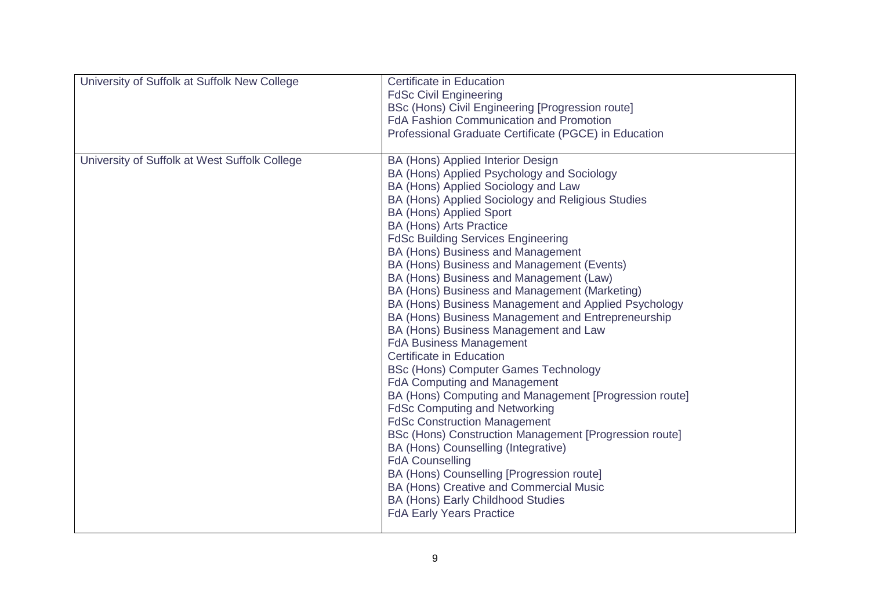| University of Suffolk at Suffolk New College  | <b>Certificate in Education</b><br><b>FdSc Civil Engineering</b><br>BSc (Hons) Civil Engineering [Progression route]<br>FdA Fashion Communication and Promotion<br>Professional Graduate Certificate (PGCE) in Education                                                                                                                                                                                                                                                                                                                                                                                                                                                                                                                                                                                                                                                                                                                                                                                                                                                                                                                                                                                                                 |
|-----------------------------------------------|------------------------------------------------------------------------------------------------------------------------------------------------------------------------------------------------------------------------------------------------------------------------------------------------------------------------------------------------------------------------------------------------------------------------------------------------------------------------------------------------------------------------------------------------------------------------------------------------------------------------------------------------------------------------------------------------------------------------------------------------------------------------------------------------------------------------------------------------------------------------------------------------------------------------------------------------------------------------------------------------------------------------------------------------------------------------------------------------------------------------------------------------------------------------------------------------------------------------------------------|
| University of Suffolk at West Suffolk College | BA (Hons) Applied Interior Design<br>BA (Hons) Applied Psychology and Sociology<br>BA (Hons) Applied Sociology and Law<br>BA (Hons) Applied Sociology and Religious Studies<br><b>BA (Hons) Applied Sport</b><br><b>BA (Hons) Arts Practice</b><br><b>FdSc Building Services Engineering</b><br>BA (Hons) Business and Management<br>BA (Hons) Business and Management (Events)<br>BA (Hons) Business and Management (Law)<br>BA (Hons) Business and Management (Marketing)<br>BA (Hons) Business Management and Applied Psychology<br>BA (Hons) Business Management and Entrepreneurship<br>BA (Hons) Business Management and Law<br><b>FdA Business Management</b><br><b>Certificate in Education</b><br><b>BSc (Hons) Computer Games Technology</b><br><b>FdA Computing and Management</b><br>BA (Hons) Computing and Management [Progression route]<br><b>FdSc Computing and Networking</b><br><b>FdSc Construction Management</b><br>BSc (Hons) Construction Management [Progression route]<br>BA (Hons) Counselling (Integrative)<br><b>FdA Counselling</b><br>BA (Hons) Counselling [Progression route]<br>BA (Hons) Creative and Commercial Music<br><b>BA (Hons) Early Childhood Studies</b><br><b>FdA Early Years Practice</b> |